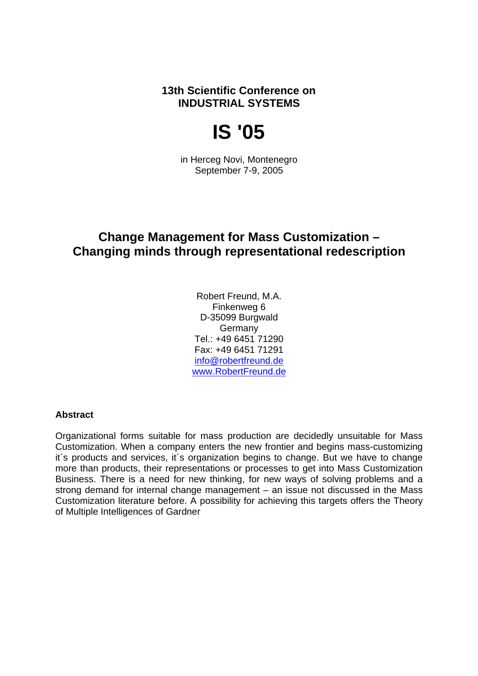**13th Scientific Conference on INDUSTRIAL SYSTEMS** 

# **IS '05**

in Herceg Novi, Montenegro September 7-9, 2005

# **Change Management for Mass Customization – Changing minds through representational redescription**

Robert Freund, M.A. Finkenweg 6 D-35099 Burgwald Germany Tel.: +49 6451 71290 Fax: +49 6451 71291 info@robertfreund.de www.RobertFreund.de

#### **Abstract**

Organizational forms suitable for mass production are decidedly unsuitable for Mass Customization. When a company enters the new frontier and begins mass-customizing it´s products and services, it´s organization begins to change. But we have to change more than products, their representations or processes to get into Mass Customization Business. There is a need for new thinking, for new ways of solving problems and a strong demand for internal change management – an issue not discussed in the Mass Customization literature before. A possibility for achieving this targets offers the Theory of Multiple Intelligences of Gardner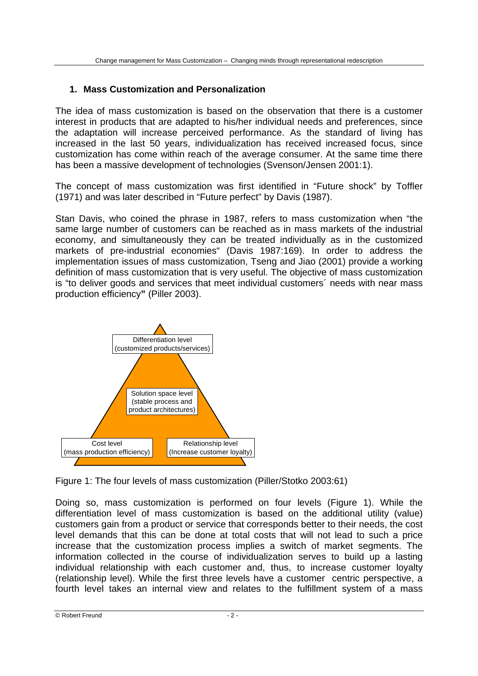### **1. Mass Customization and Personalization**

The idea of mass customization is based on the observation that there is a customer interest in products that are adapted to his/her individual needs and preferences, since the adaptation will increase perceived performance. As the standard of living has increased in the last 50 years, individualization has received increased focus, since customization has come within reach of the average consumer. At the same time there has been a massive development of technologies (Svenson/Jensen 2001:1).

The concept of mass customization was first identified in "Future shock" by Toffler (1971) and was later described in "Future perfect" by Davis (1987).

Stan Davis, who coined the phrase in 1987, refers to mass customization when "the same large number of customers can be reached as in mass markets of the industrial economy, and simultaneously they can be treated individually as in the customized markets of pre-industrial economies" (Davis 1987:169). In order to address the implementation issues of mass customization, Tseng and Jiao (2001) provide a working definition of mass customization that is very useful. The objective of mass customization is "to deliver goods and services that meet individual customers´ needs with near mass production efficiency**"** (Piller 2003).



Figure 1: The four levels of mass customization (Piller/Stotko 2003:61)

Doing so, mass customization is performed on four levels (Figure 1). While the differentiation level of mass customization is based on the additional utility (value) customers gain from a product or service that corresponds better to their needs, the cost level demands that this can be done at total costs that will not lead to such a price increase that the customization process implies a switch of market segments. The information collected in the course of individualization serves to build up a lasting individual relationship with each customer and, thus, to increase customer loyalty (relationship level). While the first three levels have a customer centric perspective, a fourth level takes an internal view and relates to the fulfillment system of a mass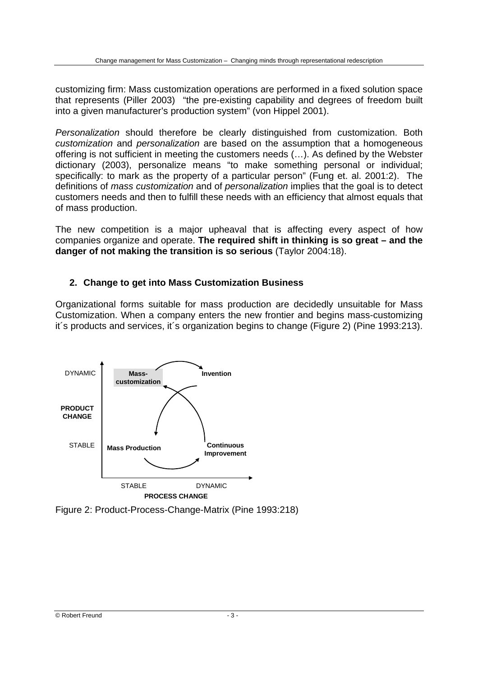customizing firm: Mass customization operations are performed in a fixed solution space that represents (Piller 2003) "the pre-existing capability and degrees of freedom built into a given manufacturer's production system" (von Hippel 2001).

Personalization should therefore be clearly distinguished from customization. Both customization and personalization are based on the assumption that a homogeneous offering is not sufficient in meeting the customers needs (…). As defined by the Webster dictionary (2003), personalize means "to make something personal or individual; specifically: to mark as the property of a particular person" (Fung et. al. 2001:2). The definitions of *mass customization* and of *personalization* implies that the goal is to detect customers needs and then to fulfill these needs with an efficiency that almost equals that of mass production.

The new competition is a major upheaval that is affecting every aspect of how companies organize and operate. **The required shift in thinking is so great – and the danger of not making the transition is so serious** (Taylor 2004:18).

# **2. Change to get into Mass Customization Business**

Organizational forms suitable for mass production are decidedly unsuitable for Mass Customization. When a company enters the new frontier and begins mass-customizing it´s products and services, it´s organization begins to change (Figure 2) (Pine 1993:213).



Figure 2: Product-Process-Change-Matrix (Pine 1993:218)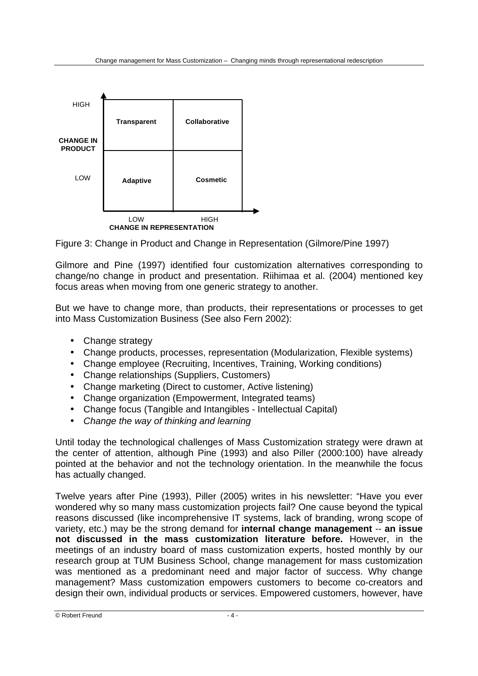

Figure 3: Change in Product and Change in Representation (Gilmore/Pine 1997)

Gilmore and Pine (1997) identified four customization alternatives corresponding to change/no change in product and presentation. Riihimaa et al. (2004) mentioned key focus areas when moving from one generic strategy to another.

But we have to change more, than products, their representations or processes to get into Mass Customization Business (See also Fern 2002):

- Change strategy
- Change products, processes, representation (Modularization, Flexible systems)
- Change employee (Recruiting, Incentives, Training, Working conditions)
- Change relationships (Suppliers, Customers)
- Change marketing (Direct to customer, Active listening)
- Change organization (Empowerment, Integrated teams)
- Change focus (Tangible and Intangibles Intellectual Capital)
- Change the way of thinking and learning

Until today the technological challenges of Mass Customization strategy were drawn at the center of attention, although Pine (1993) and also Piller (2000:100) have already pointed at the behavior and not the technology orientation. In the meanwhile the focus has actually changed.

Twelve years after Pine (1993), Piller (2005) writes in his newsletter: "Have you ever wondered why so many mass customization projects fail? One cause beyond the typical reasons discussed (like incomprehensive IT systems, lack of branding, wrong scope of variety, etc.) may be the strong demand for **internal change management** -- **an issue not discussed in the mass customization literature before.** However, in the meetings of an industry board of mass customization experts, hosted monthly by our research group at TUM Business School, change management for mass customization was mentioned as a predominant need and major factor of success. Why change management? Mass customization empowers customers to become co-creators and design their own, individual products or services. Empowered customers, however, have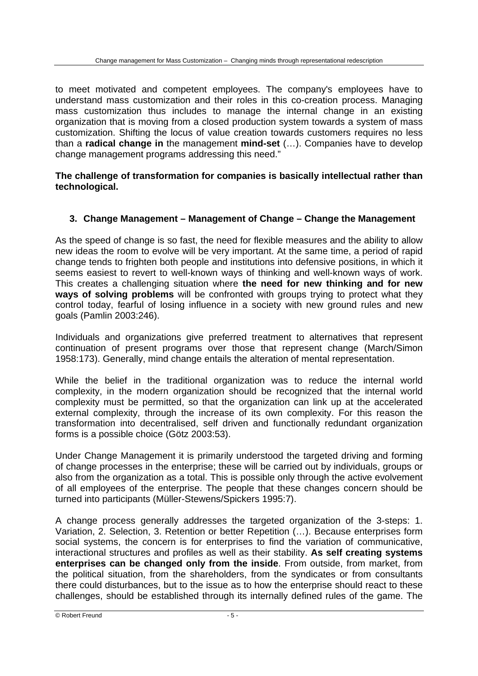to meet motivated and competent employees. The company's employees have to understand mass customization and their roles in this co-creation process. Managing mass customization thus includes to manage the internal change in an existing organization that is moving from a closed production system towards a system of mass customization. Shifting the locus of value creation towards customers requires no less than a **radical change in** the management **mind-set** (…). Companies have to develop change management programs addressing this need."

#### **The challenge of transformation for companies is basically intellectual rather than technological.**

# **3. Change Management – Management of Change – Change the Management**

As the speed of change is so fast, the need for flexible measures and the ability to allow new ideas the room to evolve will be very important. At the same time, a period of rapid change tends to frighten both people and institutions into defensive positions, in which it seems easiest to revert to well-known ways of thinking and well-known ways of work. This creates a challenging situation where **the need for new thinking and for new ways of solving problems** will be confronted with groups trying to protect what they control today, fearful of losing influence in a society with new ground rules and new goals (Pamlin 2003:246).

Individuals and organizations give preferred treatment to alternatives that represent continuation of present programs over those that represent change (March/Simon 1958:173). Generally, mind change entails the alteration of mental representation.

While the belief in the traditional organization was to reduce the internal world complexity, in the modern organization should be recognized that the internal world complexity must be permitted, so that the organization can link up at the accelerated external complexity, through the increase of its own complexity. For this reason the transformation into decentralised, self driven and functionally redundant organization forms is a possible choice (Götz 2003:53).

Under Change Management it is primarily understood the targeted driving and forming of change processes in the enterprise; these will be carried out by individuals, groups or also from the organization as a total. This is possible only through the active evolvement of all employees of the enterprise. The people that these changes concern should be turned into participants (Müller-Stewens/Spickers 1995:7).

A change process generally addresses the targeted organization of the 3-steps: 1. Variation, 2. Selection, 3. Retention or better Repetition (…). Because enterprises form social systems, the concern is for enterprises to find the variation of communicative, interactional structures and profiles as well as their stability. **As self creating systems enterprises can be changed only from the inside**. From outside, from market, from the political situation, from the shareholders, from the syndicates or from consultants there could disturbances, but to the issue as to how the enterprise should react to these challenges, should be established through its internally defined rules of the game. The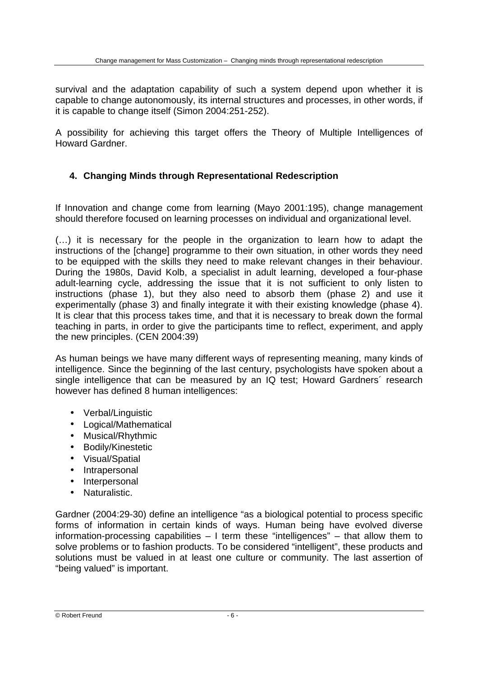survival and the adaptation capability of such a system depend upon whether it is capable to change autonomously, its internal structures and processes, in other words, if it is capable to change itself (Simon 2004:251-252).

A possibility for achieving this target offers the Theory of Multiple Intelligences of Howard Gardner.

# **4. Changing Minds through Representational Redescription**

If Innovation and change come from learning (Mayo 2001:195), change management should therefore focused on learning processes on individual and organizational level.

(…) it is necessary for the people in the organization to learn how to adapt the instructions of the [change] programme to their own situation, in other words they need to be equipped with the skills they need to make relevant changes in their behaviour. During the 1980s, David Kolb, a specialist in adult learning, developed a four-phase adult-learning cycle, addressing the issue that it is not sufficient to only listen to instructions (phase 1), but they also need to absorb them (phase 2) and use it experimentally (phase 3) and finally integrate it with their existing knowledge (phase 4). It is clear that this process takes time, and that it is necessary to break down the formal teaching in parts, in order to give the participants time to reflect, experiment, and apply the new principles. (CEN 2004:39)

As human beings we have many different ways of representing meaning, many kinds of intelligence. Since the beginning of the last century, psychologists have spoken about a single intelligence that can be measured by an IQ test; Howard Gardners´ research however has defined 8 human intelligences:

- Verbal/Linguistic
- Logical/Mathematical
- Musical/Rhythmic
- Bodily/Kinestetic
- Visual/Spatial
- Intrapersonal
- Interpersonal
- Naturalistic.

Gardner (2004:29-30) define an intelligence "as a biological potential to process specific forms of information in certain kinds of ways. Human being have evolved diverse information-processing capabilities – I term these "intelligences" – that allow them to solve problems or to fashion products. To be considered "intelligent", these products and solutions must be valued in at least one culture or community. The last assertion of "being valued" is important.

© Robert Freund - 6 -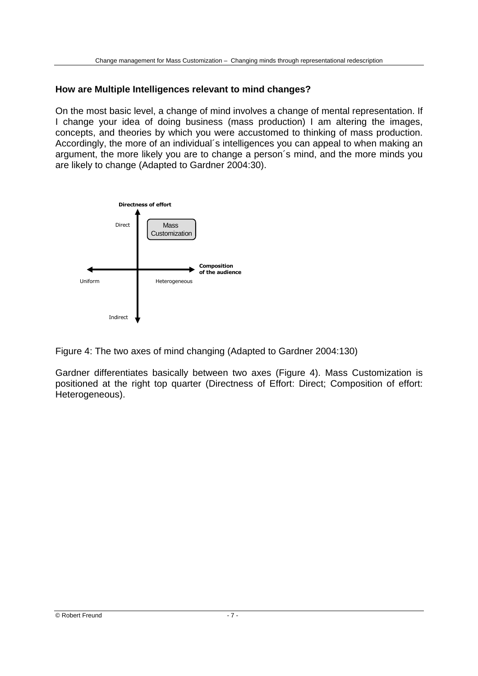# **How are Multiple Intelligences relevant to mind changes?**

On the most basic level, a change of mind involves a change of mental representation. If I change your idea of doing business (mass production) I am altering the images, concepts, and theories by which you were accustomed to thinking of mass production. Accordingly, the more of an individual´s intelligences you can appeal to when making an argument, the more likely you are to change a person´s mind, and the more minds you are likely to change (Adapted to Gardner 2004:30).



Figure 4: The two axes of mind changing (Adapted to Gardner 2004:130)

Gardner differentiates basically between two axes (Figure 4). Mass Customization is positioned at the right top quarter (Directness of Effort: Direct; Composition of effort: Heterogeneous).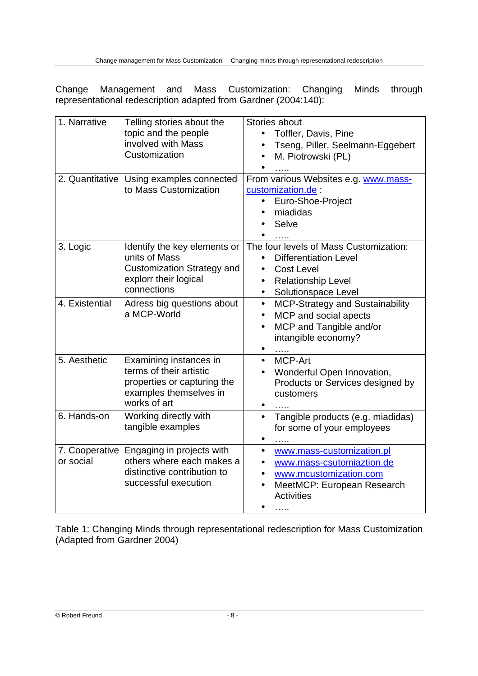Change Management and Mass Customization: Changing Minds through representational redescription adapted from Gardner (2004:140):

| 1. Narrative                | Telling stories about the<br>topic and the people<br>involved with Mass<br>Customization<br>2. Quantitative   Using examples connected | Stories about<br>Toffler, Davis, Pine<br>$\bullet$<br>Tseng, Piller, Seelmann-Eggebert<br>$\bullet$<br>M. Piotrowski (PL)<br>$\bullet$<br>From various Websites e.g. www.mass- |
|-----------------------------|----------------------------------------------------------------------------------------------------------------------------------------|--------------------------------------------------------------------------------------------------------------------------------------------------------------------------------|
|                             | to Mass Customization                                                                                                                  | customization.de<br>Euro-Shoe-Project<br>$\bullet$<br>miadidas<br>Selve<br>$\cdots$                                                                                            |
| 3. Logic                    | Identify the key elements or<br>units of Mass<br><b>Customization Strategy and</b><br>explorr their logical<br>connections             | The four levels of Mass Customization:<br><b>Differentiation Level</b><br><b>Cost Level</b><br>Relationship Level<br>$\bullet$<br>Solutionspace Level<br>$\bullet$             |
| 4. Existential              | Adress big questions about<br>a MCP-World                                                                                              | <b>MCP-Strategy and Sustainability</b><br>$\bullet$<br>MCP and social apects<br>$\bullet$<br>MCP and Tangible and/or<br>$\bullet$<br>intangible economy?                       |
| 5. Aesthetic                | Examining instances in<br>terms of their artistic<br>properties or capturing the<br>examples themselves in<br>works of art             | <b>MCP-Art</b><br>$\bullet$<br>Wonderful Open Innovation,<br>Products or Services designed by<br>customers<br>.                                                                |
| 6. Hands-on                 | Working directly with<br>tangible examples                                                                                             | Tangible products (e.g. miadidas)<br>$\bullet$<br>for some of your employees                                                                                                   |
| 7. Cooperative<br>or social | Engaging in projects with<br>others where each makes a<br>distinctive contribution to<br>successful execution                          | www.mass-customization.pl<br>www.mass-csutomiaztion.de<br>www.mcustomization.com<br>MeetMCP: European Research<br><b>Activities</b><br>.                                       |

Table 1: Changing Minds through representational redescription for Mass Customization (Adapted from Gardner 2004)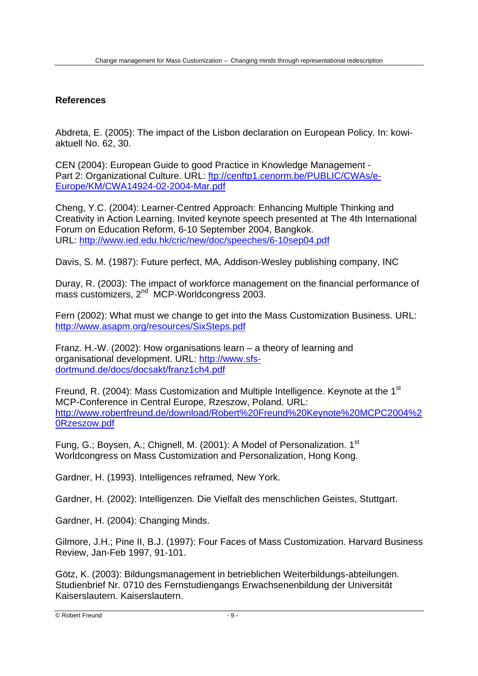# **References**

Abdreta, E. (2005): The impact of the Lisbon declaration on European Policy. In: kowiaktuell No. 62, 30.

CEN (2004): European Guide to good Practice in Knowledge Management - Part 2: Organizational Culture. URL: ftp://cenftp1.cenorm.be/PUBLIC/CWAs/e-Europe/KM/CWA14924-02-2004-Mar.pdf

Cheng, Y.C. (2004): Learner-Centred Approach: Enhancing Multiple Thinking and Creativity in Action Learning. Invited keynote speech presented at The 4th International Forum on Education Reform, 6-10 September 2004, Bangkok. URL: http://www.ied.edu.hk/cric/new/doc/speeches/6-10sep04.pdf

Davis, S. M. (1987): Future perfect, MA, Addison-Wesley publishing company, INC

Duray, R. (2003): The impact of workforce management on the financial performance of mass customizers, 2<sup>nd</sup> MCP-Worldcongress 2003.

Fern (2002): What must we change to get into the Mass Customization Business. URL: http://www.asapm.org/resources/SixSteps.pdf

Franz. H.-W. (2002): How organisations learn – a theory of learning and organisational development. URL: http://www.sfsdortmund.de/docs/docsakt/franz1ch4.pdf

Freund, R. (2004): Mass Customization and Multiple Intelligence. Keynote at the 1<sup>st</sup> MCP-Conference in Central Europe, Rzeszow, Poland. URL: http://www.robertfreund.de/download/Robert%20Freund%20Keynote%20MCPC2004%2 0Rzeszow.pdf

Fung, G.; Boysen, A.; Chignell, M. (2001): A Model of Personalization. 1<sup>st</sup> Worldcongress on Mass Customization and Personalization, Hong Kong.

Gardner, H. (1993). Intelligences reframed, New York.

Gardner, H. (2002): Intelligenzen. Die Vielfalt des menschlichen Geistes, Stuttgart.

Gardner, H. (2004): Changing Minds.

Gilmore, J.H.; Pine II, B.J. (1997): Four Faces of Mass Customization. Harvard Business Review, Jan-Feb 1997, 91-101.

Götz, K. (2003): Bildungsmanagement in betrieblichen Weiterbildungs-abteilungen. Studienbrief Nr. 0710 des Fernstudiengangs Erwachsenenbildung der Universität Kaiserslautern. Kaiserslautern.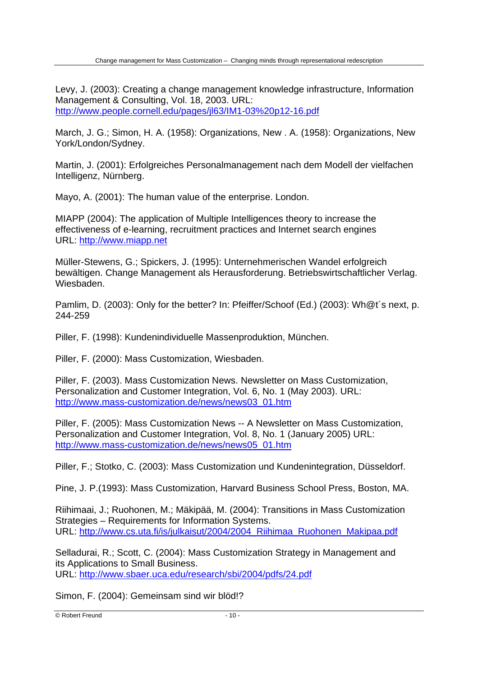Levy, J. (2003): Creating a change management knowledge infrastructure, Information Management & Consulting, Vol. 18, 2003. URL: http://www.people.cornell.edu/pages/jl63/IM1-03%20p12-16.pdf

March, J. G.; Simon, H. A. (1958): Organizations, New . A. (1958): Organizations, New York/London/Sydney.

Martin, J. (2001): Erfolgreiches Personalmanagement nach dem Modell der vielfachen Intelligenz, Nürnberg.

Mayo, A. (2001): The human value of the enterprise. London.

MIAPP (2004): The application of Multiple Intelligences theory to increase the effectiveness of e-learning, recruitment practices and Internet search engines URL: http://www.miapp.net

Müller-Stewens, G.; Spickers, J. (1995): Unternehmerischen Wandel erfolgreich bewältigen. Change Management als Herausforderung. Betriebswirtschaftlicher Verlag. Wiesbaden.

Pamlim, D. (2003): Only for the better? In: Pfeiffer/Schoof (Ed.) (2003): Wh@t´s next, p. 244-259

Piller, F. (1998): Kundenindividuelle Massenproduktion, München.

Piller, F. (2000): Mass Customization, Wiesbaden.

Piller, F. (2003). Mass Customization News. Newsletter on Mass Customization, Personalization and Customer Integration, Vol. 6, No. 1 (May 2003). URL: http://www.mass-customization.de/news/news03\_01.htm

Piller, F. (2005): Mass Customization News -- A Newsletter on Mass Customization, Personalization and Customer Integration, Vol. 8, No. 1 (January 2005) URL: http://www.mass-customization.de/news/news05\_01.htm

Piller, F.; Stotko, C. (2003): Mass Customization und Kundenintegration, Düsseldorf.

Pine, J. P.(1993): Mass Customization, Harvard Business School Press, Boston, MA.

Riihimaai, J.; Ruohonen, M.; Mäkipää, M. (2004): Transitions in Mass Customization Strategies – Requirements for Information Systems. URL: http://www.cs.uta.fi/is/julkaisut/2004/2004 Riihimaa Ruohonen Makipaa.pdf

Selladurai, R.; Scott, C. (2004): Mass Customization Strategy in Management and its Applications to Small Business. URL: http://www.sbaer.uca.edu/research/sbi/2004/pdfs/24.pdf

Simon, F. (2004): Gemeinsam sind wir blöd!?